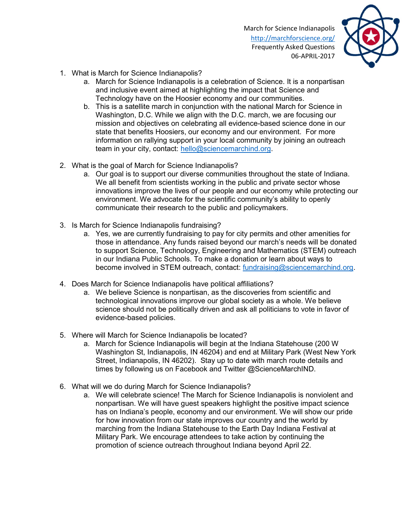

- 1. What is March for Science Indianapolis?
	- a. March for Science Indianapolis is a celebration of Science. It is a nonpartisan and inclusive event aimed at highlighting the impact that Science and Technology have on the Hoosier economy and our communities.
	- b. This is a satellite march in conjunction with the national March for Science in Washington, D.C. While we align with the D.C. march, we are focusing our mission and objectives on celebrating all evidence-based science done in our state that benefits Hoosiers, our economy and our environment. For more information on rallying support in your local community by joining an outreach team in your city, contact: hello@sciencemarchind.org.
- 2. What is the goal of March for Science Indianapolis?
	- a. Our goal is to support our diverse communities throughout the state of Indiana. We all benefit from scientists working in the public and private sector whose innovations improve the lives of our people and our economy while protecting our environment. We advocate for the scientific community's ability to openly communicate their research to the public and policymakers.
- 3. Is March for Science Indianapolis fundraising?
	- a. Yes, we are currently fundraising to pay for city permits and other amenities for those in attendance. Any funds raised beyond our march's needs will be donated to support Science, Technology, Engineering and Mathematics (STEM) outreach in our Indiana Public Schools. To make a donation or learn about ways to become involved in STEM outreach, contact: fundraising@sciencemarchind.org.
- 4. Does March for Science Indianapolis have political affiliations?
	- a. We believe Science is nonpartisan, as the discoveries from scientific and technological innovations improve our global society as a whole. We believe science should not be politically driven and ask all politicians to vote in favor of evidence-based policies.
- 5. Where will March for Science Indianapolis be located?
	- a. March for Science Indianapolis will begin at the Indiana Statehouse (200 W Washington St, Indianapolis, IN 46204) and end at Military Park (West New York Street, Indianapolis, IN 46202). Stay up to date with march route details and times by following us on Facebook and Twitter @ScienceMarchIND.
- 6. What will we do during March for Science Indianapolis?
	- a. We will celebrate science! The March for Science Indianapolis is nonviolent and nonpartisan. We will have guest speakers highlight the positive impact science has on Indiana's people, economy and our environment. We will show our pride for how innovation from our state improves our country and the world by marching from the Indiana Statehouse to the Earth Day Indiana Festival at Military Park. We encourage attendees to take action by continuing the promotion of science outreach throughout Indiana beyond April 22.